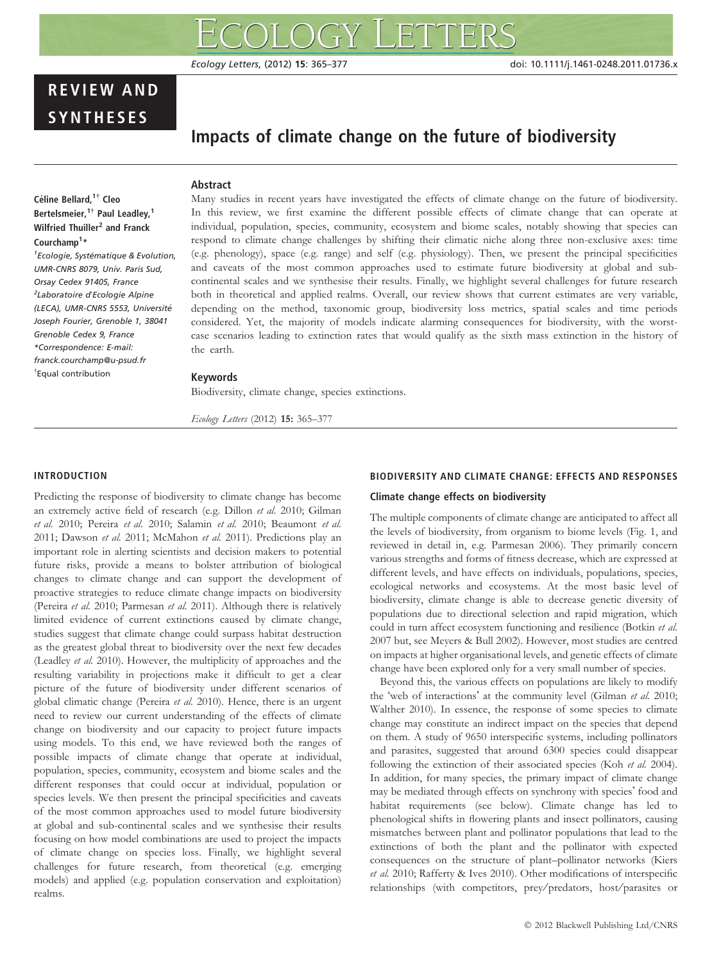Ecology Letters, (2012) 15: 365–377 doi: 10.1111/j.1461-0248.2011.01736.x

# REVIEW AND **SYNTHESES**

## Impacts of climate change on the future of biodiversity

## Abstract

## Céline Bellard,<sup>1†</sup> Cleo Bertelsmeier,<sup>1†</sup> Paul Leadley,<sup>1</sup> Wilfried Thuiller<sup>2</sup> and Franck Courchamp<sup>1</sup>\*

<sup>1</sup> Ecologie, Systématique & Evolution, UMR-CNRS 8079, Univ. Paris Sud, Orsay Cedex 91405, France <sup>2</sup>Laboratoire d'Ecologie Alpine (LECA), UMR-CNRS 5553, Universite´ Joseph Fourier, Grenoble 1, 38041 Grenoble Cedex 9, France \*Correspondence: E-mail: franck.courchamp@u-psud.fr <sup>†</sup>Equal contribution

Many studies in recent years have investigated the effects of climate change on the future of biodiversity. In this review, we first examine the different possible effects of climate change that can operate at individual, population, species, community, ecosystem and biome scales, notably showing that species can respond to climate change challenges by shifting their climatic niche along three non-exclusive axes: time (e.g. phenology), space (e.g. range) and self (e.g. physiology). Then, we present the principal specificities and caveats of the most common approaches used to estimate future biodiversity at global and subcontinental scales and we synthesise their results. Finally, we highlight several challenges for future research both in theoretical and applied realms. Overall, our review shows that current estimates are very variable, depending on the method, taxonomic group, biodiversity loss metrics, spatial scales and time periods considered. Yet, the majority of models indicate alarming consequences for biodiversity, with the worstcase scenarios leading to extinction rates that would qualify as the sixth mass extinction in the history of the earth.

## Keywords

Biodiversity, climate change, species extinctions.

Ecology Letters (2012) 15: 365–377

## INTRODUCTION

Predicting the response of biodiversity to climate change has become an extremely active field of research (e.g. Dillon et al. 2010; Gilman et al. 2010; Pereira et al. 2010; Salamin et al. 2010; Beaumont et al. 2011; Dawson et al. 2011; McMahon et al. 2011). Predictions play an important role in alerting scientists and decision makers to potential future risks, provide a means to bolster attribution of biological changes to climate change and can support the development of proactive strategies to reduce climate change impacts on biodiversity (Pereira et al. 2010; Parmesan et al. 2011). Although there is relatively limited evidence of current extinctions caused by climate change, studies suggest that climate change could surpass habitat destruction as the greatest global threat to biodiversity over the next few decades (Leadley et al. 2010). However, the multiplicity of approaches and the resulting variability in projections make it difficult to get a clear picture of the future of biodiversity under different scenarios of global climatic change (Pereira et al. 2010). Hence, there is an urgent need to review our current understanding of the effects of climate change on biodiversity and our capacity to project future impacts using models. To this end, we have reviewed both the ranges of possible impacts of climate change that operate at individual, population, species, community, ecosystem and biome scales and the different responses that could occur at individual, population or species levels. We then present the principal specificities and caveats of the most common approaches used to model future biodiversity at global and sub-continental scales and we synthesise their results focusing on how model combinations are used to project the impacts of climate change on species loss. Finally, we highlight several challenges for future research, from theoretical (e.g. emerging models) and applied (e.g. population conservation and exploitation) realms.

## BIODIVERSITY AND CLIMATE CHANGE: EFFECTS AND RESPONSES

### Climate change effects on biodiversity

The multiple components of climate change are anticipated to affect all the levels of biodiversity, from organism to biome levels (Fig. 1, and reviewed in detail in, e.g. Parmesan 2006). They primarily concern various strengths and forms of fitness decrease, which are expressed at different levels, and have effects on individuals, populations, species, ecological networks and ecosystems. At the most basic level of biodiversity, climate change is able to decrease genetic diversity of populations due to directional selection and rapid migration, which could in turn affect ecosystem functioning and resilience (Botkin et al. 2007 but, see Meyers & Bull 2002). However, most studies are centred on impacts at higher organisational levels, and genetic effects of climate change have been explored only for a very small number of species.

Beyond this, the various effects on populations are likely to modify the 'web of interactions' at the community level (Gilman et al. 2010; Walther 2010). In essence, the response of some species to climate change may constitute an indirect impact on the species that depend on them. A study of 9650 interspecific systems, including pollinators and parasites, suggested that around 6300 species could disappear following the extinction of their associated species (Koh et al. 2004). In addition, for many species, the primary impact of climate change may be mediated through effects on synchrony with species' food and habitat requirements (see below). Climate change has led to phenological shifts in flowering plants and insect pollinators, causing mismatches between plant and pollinator populations that lead to the extinctions of both the plant and the pollinator with expected consequences on the structure of plant–pollinator networks (Kiers et al. 2010; Rafferty & Ives 2010). Other modifications of interspecific relationships (with competitors, prey/predators, host/parasites or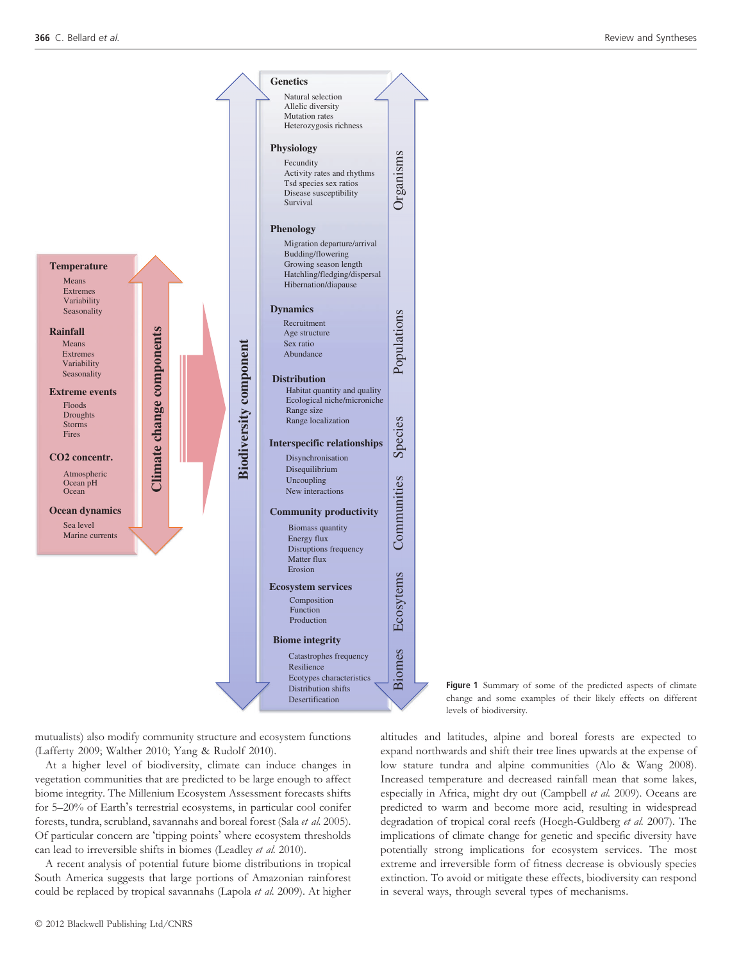

mutualists) also modify community structure and ecosystem functions (Lafferty 2009; Walther 2010; Yang & Rudolf 2010).

At a higher level of biodiversity, climate can induce changes in vegetation communities that are predicted to be large enough to affect biome integrity. The Millenium Ecosystem Assessment forecasts shifts for 5–20% of Earth's terrestrial ecosystems, in particular cool conifer forests, tundra, scrubland, savannahs and boreal forest (Sala et al. 2005). Of particular concern are 'tipping points' where ecosystem thresholds can lead to irreversible shifts in biomes (Leadley et al. 2010).

A recent analysis of potential future biome distributions in tropical South America suggests that large portions of Amazonian rainforest could be replaced by tropical savannahs (Lapola et al. 2009). At higher

Figure 1 Summary of some of the predicted aspects of climate change and some examples of their likely effects on different levels of biodiversity.

altitudes and latitudes, alpine and boreal forests are expected to expand northwards and shift their tree lines upwards at the expense of low stature tundra and alpine communities (Alo & Wang 2008). Increased temperature and decreased rainfall mean that some lakes, especially in Africa, might dry out (Campbell et al. 2009). Oceans are predicted to warm and become more acid, resulting in widespread degradation of tropical coral reefs (Hoegh-Guldberg et al. 2007). The implications of climate change for genetic and specific diversity have potentially strong implications for ecosystem services. The most extreme and irreversible form of fitness decrease is obviously species extinction. To avoid or mitigate these effects, biodiversity can respond in several ways, through several types of mechanisms.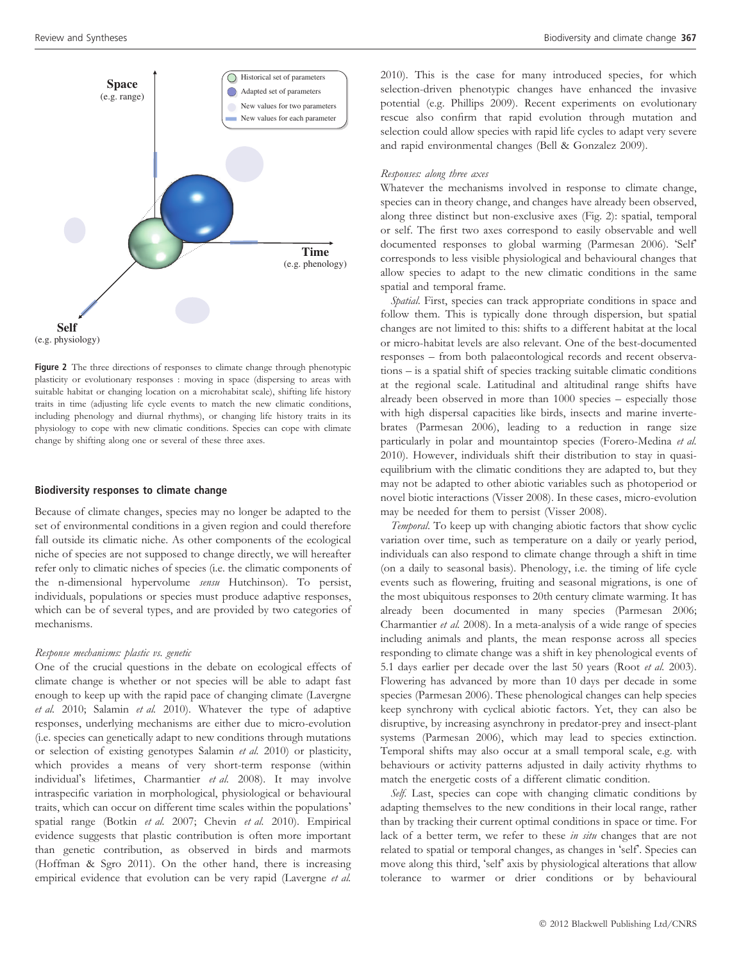

Figure 2 The three directions of responses to climate change through phenotypic plasticity or evolutionary responses : moving in space (dispersing to areas with suitable habitat or changing location on a microhabitat scale), shifting life history traits in time (adjusting life cycle events to match the new climatic conditions, including phenology and diurnal rhythms), or changing life history traits in its physiology to cope with new climatic conditions. Species can cope with climate change by shifting along one or several of these three axes.

#### Biodiversity responses to climate change

Because of climate changes, species may no longer be adapted to the set of environmental conditions in a given region and could therefore fall outside its climatic niche. As other components of the ecological niche of species are not supposed to change directly, we will hereafter refer only to climatic niches of species (i.e. the climatic components of the n-dimensional hypervolume sensu Hutchinson). To persist, individuals, populations or species must produce adaptive responses, which can be of several types, and are provided by two categories of mechanisms.

#### Response mechanisms: plastic vs. genetic

One of the crucial questions in the debate on ecological effects of climate change is whether or not species will be able to adapt fast enough to keep up with the rapid pace of changing climate (Lavergne et al. 2010; Salamin et al. 2010). Whatever the type of adaptive responses, underlying mechanisms are either due to micro-evolution (i.e. species can genetically adapt to new conditions through mutations or selection of existing genotypes Salamin et al. 2010) or plasticity, which provides a means of very short-term response (within individual's lifetimes, Charmantier et al. 2008). It may involve intraspecific variation in morphological, physiological or behavioural traits, which can occur on different time scales within the populations spatial range (Botkin et al. 2007; Chevin et al. 2010). Empirical evidence suggests that plastic contribution is often more important than genetic contribution, as observed in birds and marmots (Hoffman & Sgro 2011). On the other hand, there is increasing empirical evidence that evolution can be very rapid (Lavergne et al.

2010). This is the case for many introduced species, for which selection-driven phenotypic changes have enhanced the invasive potential (e.g. Phillips 2009). Recent experiments on evolutionary rescue also confirm that rapid evolution through mutation and selection could allow species with rapid life cycles to adapt very severe and rapid environmental changes (Bell & Gonzalez 2009).

#### Responses: along three axes

Whatever the mechanisms involved in response to climate change, species can in theory change, and changes have already been observed, along three distinct but non-exclusive axes (Fig. 2): spatial, temporal or self. The first two axes correspond to easily observable and well documented responses to global warming (Parmesan 2006). 'Self' corresponds to less visible physiological and behavioural changes that allow species to adapt to the new climatic conditions in the same spatial and temporal frame.

Spatial. First, species can track appropriate conditions in space and follow them. This is typically done through dispersion, but spatial changes are not limited to this: shifts to a different habitat at the local or micro-habitat levels are also relevant. One of the best-documented responses – from both palaeontological records and recent observations – is a spatial shift of species tracking suitable climatic conditions at the regional scale. Latitudinal and altitudinal range shifts have already been observed in more than 1000 species – especially those with high dispersal capacities like birds, insects and marine invertebrates (Parmesan 2006), leading to a reduction in range size particularly in polar and mountaintop species (Forero-Medina et al. 2010). However, individuals shift their distribution to stay in quasiequilibrium with the climatic conditions they are adapted to, but they may not be adapted to other abiotic variables such as photoperiod or novel biotic interactions (Visser 2008). In these cases, micro-evolution may be needed for them to persist (Visser 2008).

Temporal. To keep up with changing abiotic factors that show cyclic variation over time, such as temperature on a daily or yearly period, individuals can also respond to climate change through a shift in time (on a daily to seasonal basis). Phenology, i.e. the timing of life cycle events such as flowering, fruiting and seasonal migrations, is one of the most ubiquitous responses to 20th century climate warming. It has already been documented in many species (Parmesan 2006; Charmantier et al. 2008). In a meta-analysis of a wide range of species including animals and plants, the mean response across all species responding to climate change was a shift in key phenological events of 5.1 days earlier per decade over the last 50 years (Root et al. 2003). Flowering has advanced by more than 10 days per decade in some species (Parmesan 2006). These phenological changes can help species keep synchrony with cyclical abiotic factors. Yet, they can also be disruptive, by increasing asynchrony in predator-prey and insect-plant systems (Parmesan 2006), which may lead to species extinction. Temporal shifts may also occur at a small temporal scale, e.g. with behaviours or activity patterns adjusted in daily activity rhythms to match the energetic costs of a different climatic condition.

Self. Last, species can cope with changing climatic conditions by adapting themselves to the new conditions in their local range, rather than by tracking their current optimal conditions in space or time. For lack of a better term, we refer to these in situ changes that are not related to spatial or temporal changes, as changes in 'self'. Species can move along this third, 'self' axis by physiological alterations that allow tolerance to warmer or drier conditions or by behavioural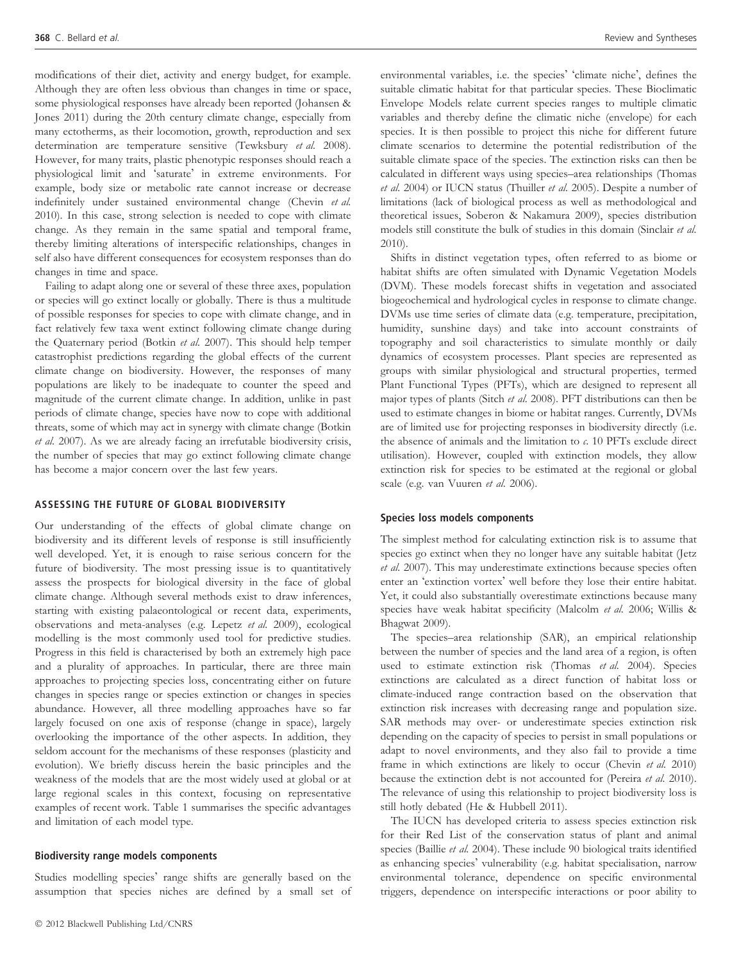modifications of their diet, activity and energy budget, for example. Although they are often less obvious than changes in time or space, some physiological responses have already been reported (Johansen & Jones 2011) during the 20th century climate change, especially from many ectotherms, as their locomotion, growth, reproduction and sex determination are temperature sensitive (Tewksbury et al. 2008). However, for many traits, plastic phenotypic responses should reach a physiological limit and 'saturate' in extreme environments. For example, body size or metabolic rate cannot increase or decrease indefinitely under sustained environmental change (Chevin et al. 2010). In this case, strong selection is needed to cope with climate change. As they remain in the same spatial and temporal frame, thereby limiting alterations of interspecific relationships, changes in self also have different consequences for ecosystem responses than do changes in time and space.

Failing to adapt along one or several of these three axes, population or species will go extinct locally or globally. There is thus a multitude of possible responses for species to cope with climate change, and in fact relatively few taxa went extinct following climate change during the Quaternary period (Botkin et al. 2007). This should help temper catastrophist predictions regarding the global effects of the current climate change on biodiversity. However, the responses of many populations are likely to be inadequate to counter the speed and magnitude of the current climate change. In addition, unlike in past periods of climate change, species have now to cope with additional threats, some of which may act in synergy with climate change (Botkin et al. 2007). As we are already facing an irrefutable biodiversity crisis, the number of species that may go extinct following climate change has become a major concern over the last few years.

### ASSESSING THE FUTURE OF GLOBAL BIODIVERSITY

Our understanding of the effects of global climate change on biodiversity and its different levels of response is still insufficiently well developed. Yet, it is enough to raise serious concern for the future of biodiversity. The most pressing issue is to quantitatively assess the prospects for biological diversity in the face of global climate change. Although several methods exist to draw inferences, starting with existing palaeontological or recent data, experiments, observations and meta-analyses (e.g. Lepetz et al. 2009), ecological modelling is the most commonly used tool for predictive studies. Progress in this field is characterised by both an extremely high pace and a plurality of approaches. In particular, there are three main approaches to projecting species loss, concentrating either on future changes in species range or species extinction or changes in species abundance. However, all three modelling approaches have so far largely focused on one axis of response (change in space), largely overlooking the importance of the other aspects. In addition, they seldom account for the mechanisms of these responses (plasticity and evolution). We briefly discuss herein the basic principles and the weakness of the models that are the most widely used at global or at large regional scales in this context, focusing on representative examples of recent work. Table 1 summarises the specific advantages and limitation of each model type.

## Biodiversity range models components

Studies modelling species' range shifts are generally based on the assumption that species niches are defined by a small set of environmental variables, i.e. the species' 'climate niche', defines the suitable climatic habitat for that particular species. These Bioclimatic Envelope Models relate current species ranges to multiple climatic variables and thereby define the climatic niche (envelope) for each species. It is then possible to project this niche for different future climate scenarios to determine the potential redistribution of the suitable climate space of the species. The extinction risks can then be calculated in different ways using species–area relationships (Thomas et al. 2004) or IUCN status (Thuiller et al. 2005). Despite a number of limitations (lack of biological process as well as methodological and theoretical issues, Soberon & Nakamura 2009), species distribution models still constitute the bulk of studies in this domain (Sinclair et al. 2010).

Shifts in distinct vegetation types, often referred to as biome or habitat shifts are often simulated with Dynamic Vegetation Models (DVM). These models forecast shifts in vegetation and associated biogeochemical and hydrological cycles in response to climate change. DVMs use time series of climate data (e.g. temperature, precipitation, humidity, sunshine days) and take into account constraints of topography and soil characteristics to simulate monthly or daily dynamics of ecosystem processes. Plant species are represented as groups with similar physiological and structural properties, termed Plant Functional Types (PFTs), which are designed to represent all major types of plants (Sitch et al. 2008). PFT distributions can then be used to estimate changes in biome or habitat ranges. Currently, DVMs are of limited use for projecting responses in biodiversity directly (i.e. the absence of animals and the limitation to c. 10 PFTs exclude direct utilisation). However, coupled with extinction models, they allow extinction risk for species to be estimated at the regional or global scale (e.g. van Vuuren et al. 2006).

#### Species loss models components

The simplest method for calculating extinction risk is to assume that species go extinct when they no longer have any suitable habitat (Jetz et al. 2007). This may underestimate extinctions because species often enter an 'extinction vortex' well before they lose their entire habitat. Yet, it could also substantially overestimate extinctions because many species have weak habitat specificity (Malcolm et al. 2006; Willis & Bhagwat 2009).

The species–area relationship (SAR), an empirical relationship between the number of species and the land area of a region, is often used to estimate extinction risk (Thomas et al. 2004). Species extinctions are calculated as a direct function of habitat loss or climate-induced range contraction based on the observation that extinction risk increases with decreasing range and population size. SAR methods may over- or underestimate species extinction risk depending on the capacity of species to persist in small populations or adapt to novel environments, and they also fail to provide a time frame in which extinctions are likely to occur (Chevin et al. 2010) because the extinction debt is not accounted for (Pereira et al. 2010). The relevance of using this relationship to project biodiversity loss is still hotly debated (He & Hubbell 2011).

The IUCN has developed criteria to assess species extinction risk for their Red List of the conservation status of plant and animal species (Baillie et al. 2004). These include 90 biological traits identified as enhancing species' vulnerability (e.g. habitat specialisation, narrow environmental tolerance, dependence on specific environmental triggers, dependence on interspecific interactions or poor ability to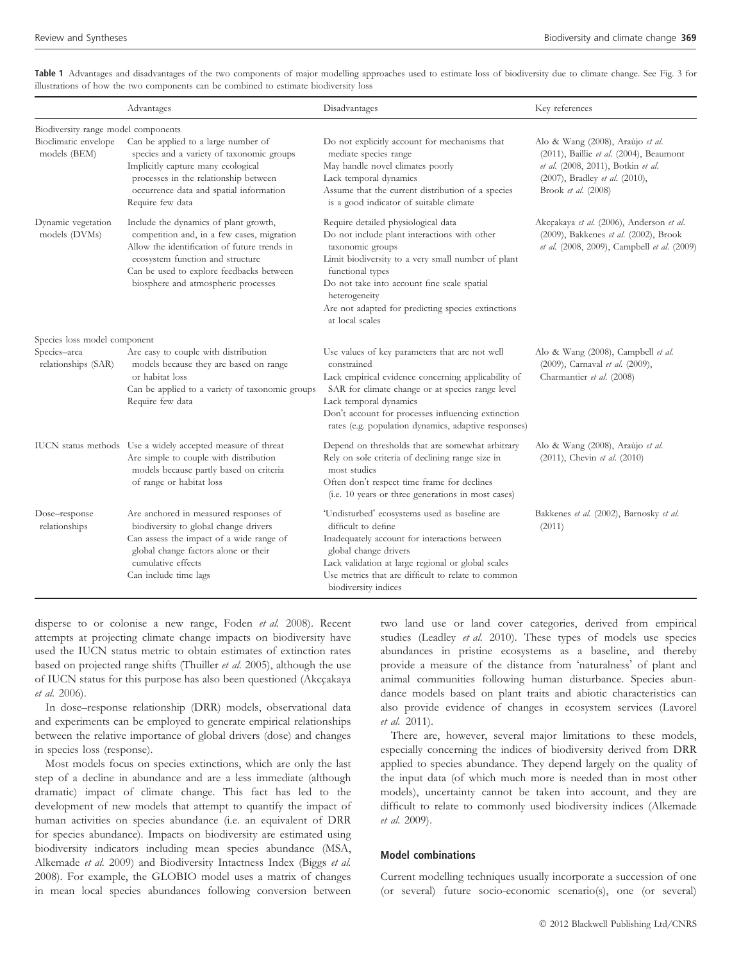|                                      | Advantages                                                                                                                                                                                                                                                 | Disadvantages                                                                                                                                                                                                                                                                                                              | Key references                                                                                                                                                             |
|--------------------------------------|------------------------------------------------------------------------------------------------------------------------------------------------------------------------------------------------------------------------------------------------------------|----------------------------------------------------------------------------------------------------------------------------------------------------------------------------------------------------------------------------------------------------------------------------------------------------------------------------|----------------------------------------------------------------------------------------------------------------------------------------------------------------------------|
| Biodiversity range model components  |                                                                                                                                                                                                                                                            |                                                                                                                                                                                                                                                                                                                            |                                                                                                                                                                            |
| Bioclimatic envelope<br>models (BEM) | Can be applied to a large number of<br>species and a variety of taxonomic groups<br>Implicitly capture many ecological<br>processes in the relationship between<br>occurrence data and spatial information<br>Require few data                             | Do not explicitly account for mechanisms that<br>mediate species range<br>May handle novel climates poorly<br>Lack temporal dynamics<br>Assume that the current distribution of a species<br>is a good indicator of suitable climate                                                                                       | Alo & Wang (2008), Araùjo et al.<br>(2011), Baillie et al. (2004), Beaumont<br>et al. (2008, 2011), Botkin et al.<br>(2007), Bradley et al. (2010),<br>Brook et al. (2008) |
| Dynamic vegetation<br>models (DVMs)  | Include the dynamics of plant growth,<br>competition and, in a few cases, migration<br>Allow the identification of future trends in<br>ecosystem function and structure<br>Can be used to explore feedbacks between<br>biosphere and atmospheric processes | Require detailed physiological data<br>Do not include plant interactions with other<br>taxonomic groups<br>Limit biodiversity to a very small number of plant<br>functional types<br>Do not take into account fine scale spatial<br>heterogeneity<br>Are not adapted for predicting species extinctions<br>at local scales | Akcçakaya et al. (2006), Anderson et al.<br>(2009), Bakkenes et al. (2002), Brook<br>et al. (2008, 2009), Campbell et al. (2009)                                           |
| Species loss model component         |                                                                                                                                                                                                                                                            |                                                                                                                                                                                                                                                                                                                            |                                                                                                                                                                            |
| Species-area<br>relationships (SAR)  | Are easy to couple with distribution<br>models because they are based on range<br>or habitat loss<br>Can be applied to a variety of taxonomic groups<br>Require few data                                                                                   | Use values of key parameters that are not well<br>constrained<br>Lack empirical evidence concerning applicability of<br>SAR for climate change or at species range level<br>Lack temporal dynamics<br>Don't account for processes influencing extinction<br>rates (e.g. population dynamics, adaptive responses)           | Alo & Wang (2008), Campbell et al.<br>(2009), Carnaval et al. (2009),<br>Charmantier et al. (2008)                                                                         |
|                                      | IUCN status methods Use a widely accepted measure of threat<br>Are simple to couple with distribution<br>models because partly based on criteria<br>of range or habitat loss                                                                               | Depend on thresholds that are somewhat arbitrary<br>Rely on sole criteria of declining range size in<br>most studies<br>Often don't respect time frame for declines<br>(i.e. 10 years or three generations in most cases)                                                                                                  | Alo & Wang (2008), Araùjo et al.<br>$(2011)$ , Chevin et al. $(2010)$                                                                                                      |
| Dose-response<br>relationships       | Are anchored in measured responses of<br>biodiversity to global change drivers<br>Can assess the impact of a wide range of<br>global change factors alone or their<br>cumulative effects<br>Can include time lags                                          | 'Undisturbed' ecosystems used as baseline are<br>difficult to define<br>Inadequately account for interactions between<br>global change drivers<br>Lack validation at large regional or global scales<br>Use metrics that are difficult to relate to common<br>biodiversity indices                                         | Bakkenes et al. (2002), Barnosky et al.<br>(2011)                                                                                                                          |

Table 1 Advantages and disadvantages of the two components of major modelling approaches used to estimate loss of biodiversity due to climate change. See Fig. 3 for illustrations of how the two components can be combined to estimate biodiversity loss

disperse to or colonise a new range, Foden et al. 2008). Recent attempts at projecting climate change impacts on biodiversity have used the IUCN status metric to obtain estimates of extinction rates based on projected range shifts (Thuiller et al. 2005), although the use of IUCN status for this purpose has also been questioned (Akcçakaya et al. 2006).

In dose–response relationship (DRR) models, observational data and experiments can be employed to generate empirical relationships between the relative importance of global drivers (dose) and changes in species loss (response).

Most models focus on species extinctions, which are only the last step of a decline in abundance and are a less immediate (although dramatic) impact of climate change. This fact has led to the development of new models that attempt to quantify the impact of human activities on species abundance (i.e. an equivalent of DRR for species abundance). Impacts on biodiversity are estimated using biodiversity indicators including mean species abundance (MSA, Alkemade et al. 2009) and Biodiversity Intactness Index (Biggs et al. 2008). For example, the GLOBIO model uses a matrix of changes in mean local species abundances following conversion between

two land use or land cover categories, derived from empirical studies (Leadley et al. 2010). These types of models use species abundances in pristine ecosystems as a baseline, and thereby provide a measure of the distance from 'naturalness' of plant and animal communities following human disturbance. Species abundance models based on plant traits and abiotic characteristics can also provide evidence of changes in ecosystem services (Lavorel et al. 2011).

There are, however, several major limitations to these models, especially concerning the indices of biodiversity derived from DRR applied to species abundance. They depend largely on the quality of the input data (of which much more is needed than in most other models), uncertainty cannot be taken into account, and they are difficult to relate to commonly used biodiversity indices (Alkemade et al. 2009).

#### Model combinations

Current modelling techniques usually incorporate a succession of one (or several) future socio-economic scenario(s), one (or several)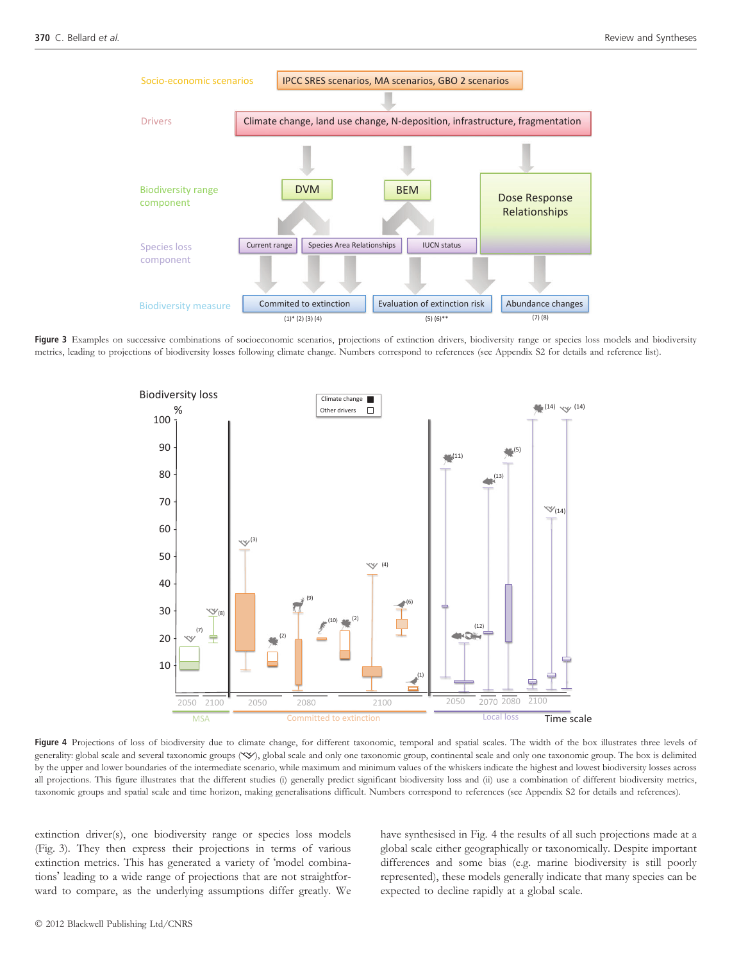

Figure 3 Examples on successive combinations of socioeconomic scenarios, projections of extinction drivers, biodiversity range or species loss models and biodiversity metrics, leading to projections of biodiversity losses following climate change. Numbers correspond to references (see Appendix S2 for details and reference list).



Figure 4 Projections of loss of biodiversity due to climate change, for different taxonomic, temporal and spatial scales. The width of the box illustrates three levels of generality: global scale and several taxonomic groups (XY), global scale and only one taxonomic group, continental scale and only one taxonomic group. The box is delimited by the upper and lower boundaries of the intermediate scenario, while maximum and minimum values of the whiskers indicate the highest and lowest biodiversity losses across all projections. This figure illustrates that the different studies (i) generally predict significant biodiversity loss and (ii) use a combination of different biodiversity metrics, taxonomic groups and spatial scale and time horizon, making generalisations difficult. Numbers correspond to references (see Appendix S2 for details and references).

extinction driver(s), one biodiversity range or species loss models (Fig. 3). They then express their projections in terms of various extinction metrics. This has generated a variety of 'model combinations' leading to a wide range of projections that are not straightforward to compare, as the underlying assumptions differ greatly. We have synthesised in Fig. 4 the results of all such projections made at a global scale either geographically or taxonomically. Despite important differences and some bias (e.g. marine biodiversity is still poorly represented), these models generally indicate that many species can be expected to decline rapidly at a global scale.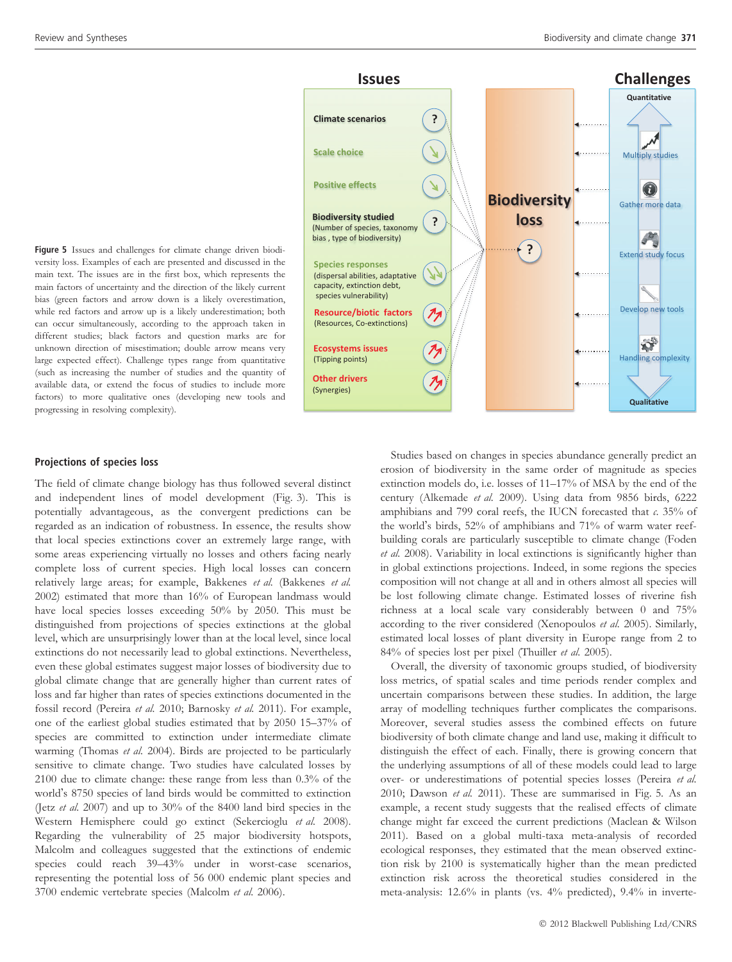Figure 5 Issues and challenges for climate change driven biodiversity loss. Examples of each are presented and discussed in the main text. The issues are in the first box, which represents the main factors of uncertainty and the direction of the likely current bias (green factors and arrow down is a likely overestimation, while red factors and arrow up is a likely underestimation; both can occur simultaneously, according to the approach taken in different studies; black factors and question marks are for unknown direction of misestimation; double arrow means very large expected effect). Challenge types range from quantitative (such as increasing the number of studies and the quantity of available data, or extend the focus of studies to include more factors) to more qualitative ones (developing new tools and progressing in resolving complexity).

#### **Challenges Issues Quantitative ? Climate scenarios** . . . . . . . . **Scale choice** Multiply studies **Positive effects**  $\mathbf{z}$  $\bigcirc$ **Biodiversity** Gather more data **Biodiversity studied loss ?** (Number of species, taxonomy bias , type of biodiversity) **AND ?** Extend study focus **Species responses** 77 ومحتجب والمناقة (dispersal abilities, adaptative capacity, extinction debt, species vulnerability) Develop new tools **Resource/biotic factors**  $\mathcal{P}_{\mathcal{P}}$ (Resources, Co-extinctions) ۳Ś **Ecosystems issues** (Tipping points) Handling complexity **Other drivers**  (Synergies) **Qualitative**

#### Projections of species loss

The field of climate change biology has thus followed several distinct and independent lines of model development (Fig. 3). This is potentially advantageous, as the convergent predictions can be regarded as an indication of robustness. In essence, the results show that local species extinctions cover an extremely large range, with some areas experiencing virtually no losses and others facing nearly complete loss of current species. High local losses can concern relatively large areas; for example, Bakkenes et al. (Bakkenes et al. 2002) estimated that more than 16% of European landmass would have local species losses exceeding 50% by 2050. This must be distinguished from projections of species extinctions at the global level, which are unsurprisingly lower than at the local level, since local extinctions do not necessarily lead to global extinctions. Nevertheless, even these global estimates suggest major losses of biodiversity due to global climate change that are generally higher than current rates of loss and far higher than rates of species extinctions documented in the fossil record (Pereira et al. 2010; Barnosky et al. 2011). For example, one of the earliest global studies estimated that by 2050 15–37% of species are committed to extinction under intermediate climate warming (Thomas et al. 2004). Birds are projected to be particularly sensitive to climate change. Two studies have calculated losses by 2100 due to climate change: these range from less than 0.3% of the world's 8750 species of land birds would be committed to extinction (Jetz et al. 2007) and up to 30% of the 8400 land bird species in the Western Hemisphere could go extinct (Sekercioglu et al. 2008). Regarding the vulnerability of 25 major biodiversity hotspots, Malcolm and colleagues suggested that the extinctions of endemic species could reach 39–43% under in worst-case scenarios, representing the potential loss of 56 000 endemic plant species and 3700 endemic vertebrate species (Malcolm et al. 2006).

Studies based on changes in species abundance generally predict an erosion of biodiversity in the same order of magnitude as species extinction models do, i.e. losses of 11–17% of MSA by the end of the century (Alkemade et al. 2009). Using data from 9856 birds, 6222 amphibians and 799 coral reefs, the IUCN forecasted that  $c$ . 35% of the world's birds,  $52\%$  of amphibians and  $71\%$  of warm water reefbuilding corals are particularly susceptible to climate change (Foden et al. 2008). Variability in local extinctions is significantly higher than in global extinctions projections. Indeed, in some regions the species composition will not change at all and in others almost all species will be lost following climate change. Estimated losses of riverine fish richness at a local scale vary considerably between 0 and 75% according to the river considered (Xenopoulos et al. 2005). Similarly, estimated local losses of plant diversity in Europe range from 2 to 84% of species lost per pixel (Thuiller et al. 2005).

Overall, the diversity of taxonomic groups studied, of biodiversity loss metrics, of spatial scales and time periods render complex and uncertain comparisons between these studies. In addition, the large array of modelling techniques further complicates the comparisons. Moreover, several studies assess the combined effects on future biodiversity of both climate change and land use, making it difficult to distinguish the effect of each. Finally, there is growing concern that the underlying assumptions of all of these models could lead to large over- or underestimations of potential species losses (Pereira et al. 2010; Dawson et al. 2011). These are summarised in Fig. 5. As an example, a recent study suggests that the realised effects of climate change might far exceed the current predictions (Maclean & Wilson 2011). Based on a global multi-taxa meta-analysis of recorded ecological responses, they estimated that the mean observed extinction risk by 2100 is systematically higher than the mean predicted extinction risk across the theoretical studies considered in the meta-analysis: 12.6% in plants (vs. 4% predicted), 9.4% in inverte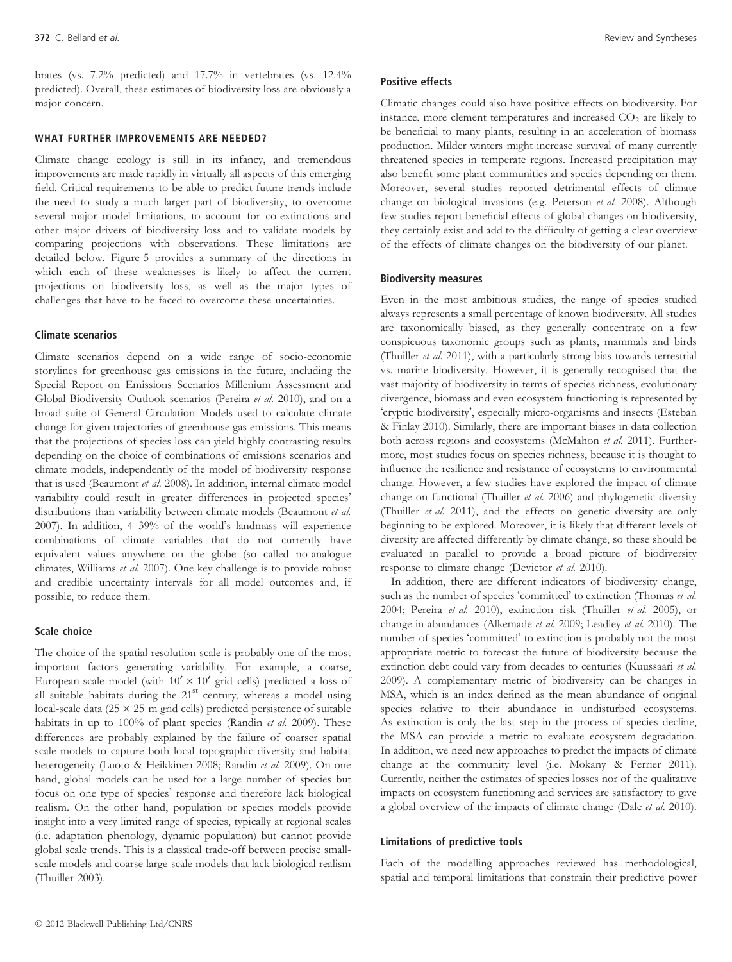brates (vs. 7.2% predicted) and 17.7% in vertebrates (vs. 12.4% predicted). Overall, these estimates of biodiversity loss are obviously a major concern.

#### WHAT FURTHER IMPROVEMENTS ARE NEEDED?

Climate change ecology is still in its infancy, and tremendous improvements are made rapidly in virtually all aspects of this emerging field. Critical requirements to be able to predict future trends include the need to study a much larger part of biodiversity, to overcome several major model limitations, to account for co-extinctions and other major drivers of biodiversity loss and to validate models by comparing projections with observations. These limitations are detailed below. Figure 5 provides a summary of the directions in which each of these weaknesses is likely to affect the current projections on biodiversity loss, as well as the major types of challenges that have to be faced to overcome these uncertainties.

#### Climate scenarios

Climate scenarios depend on a wide range of socio-economic storylines for greenhouse gas emissions in the future, including the Special Report on Emissions Scenarios Millenium Assessment and Global Biodiversity Outlook scenarios (Pereira et al. 2010), and on a broad suite of General Circulation Models used to calculate climate change for given trajectories of greenhouse gas emissions. This means that the projections of species loss can yield highly contrasting results depending on the choice of combinations of emissions scenarios and climate models, independently of the model of biodiversity response that is used (Beaumont et al. 2008). In addition, internal climate model variability could result in greater differences in projected species distributions than variability between climate models (Beaumont et al.  $2007$ ). In addition,  $4-39%$  of the world's landmass will experience combinations of climate variables that do not currently have equivalent values anywhere on the globe (so called no-analogue climates, Williams et al. 2007). One key challenge is to provide robust and credible uncertainty intervals for all model outcomes and, if possible, to reduce them.

## Scale choice

The choice of the spatial resolution scale is probably one of the most important factors generating variability. For example, a coarse, European-scale model (with  $10' \times 10'$  grid cells) predicted a loss of all suitable habitats during the  $21<sup>st</sup>$  century, whereas a model using local-scale data ( $25 \times 25$  m grid cells) predicted persistence of suitable habitats in up to 100% of plant species (Randin et al. 2009). These differences are probably explained by the failure of coarser spatial scale models to capture both local topographic diversity and habitat heterogeneity (Luoto & Heikkinen 2008; Randin et al. 2009). On one hand, global models can be used for a large number of species but focus on one type of species' response and therefore lack biological realism. On the other hand, population or species models provide insight into a very limited range of species, typically at regional scales (i.e. adaptation phenology, dynamic population) but cannot provide global scale trends. This is a classical trade-off between precise smallscale models and coarse large-scale models that lack biological realism (Thuiller 2003).

#### Positive effects

Climatic changes could also have positive effects on biodiversity. For instance, more clement temperatures and increased  $CO<sub>2</sub>$  are likely to be beneficial to many plants, resulting in an acceleration of biomass production. Milder winters might increase survival of many currently threatened species in temperate regions. Increased precipitation may also benefit some plant communities and species depending on them. Moreover, several studies reported detrimental effects of climate change on biological invasions (e.g. Peterson et al. 2008). Although few studies report beneficial effects of global changes on biodiversity, they certainly exist and add to the difficulty of getting a clear overview of the effects of climate changes on the biodiversity of our planet.

#### Biodiversity measures

Even in the most ambitious studies, the range of species studied always represents a small percentage of known biodiversity. All studies are taxonomically biased, as they generally concentrate on a few conspicuous taxonomic groups such as plants, mammals and birds (Thuiller et al. 2011), with a particularly strong bias towards terrestrial vs. marine biodiversity. However, it is generally recognised that the vast majority of biodiversity in terms of species richness, evolutionary divergence, biomass and even ecosystem functioning is represented by 'cryptic biodiversity', especially micro-organisms and insects (Esteban & Finlay 2010). Similarly, there are important biases in data collection both across regions and ecosystems (McMahon et al. 2011). Furthermore, most studies focus on species richness, because it is thought to influence the resilience and resistance of ecosystems to environmental change. However, a few studies have explored the impact of climate change on functional (Thuiller et al. 2006) and phylogenetic diversity (Thuiller et al. 2011), and the effects on genetic diversity are only beginning to be explored. Moreover, it is likely that different levels of diversity are affected differently by climate change, so these should be evaluated in parallel to provide a broad picture of biodiversity response to climate change (Devictor et al. 2010).

In addition, there are different indicators of biodiversity change, such as the number of species 'committed' to extinction (Thomas et al. 2004; Pereira et al. 2010), extinction risk (Thuiller et al. 2005), or change in abundances (Alkemade et al. 2009; Leadley et al. 2010). The number of species 'committed' to extinction is probably not the most appropriate metric to forecast the future of biodiversity because the extinction debt could vary from decades to centuries (Kuussaari et al. 2009). A complementary metric of biodiversity can be changes in MSA, which is an index defined as the mean abundance of original species relative to their abundance in undisturbed ecosystems. As extinction is only the last step in the process of species decline, the MSA can provide a metric to evaluate ecosystem degradation. In addition, we need new approaches to predict the impacts of climate change at the community level (i.e. Mokany & Ferrier 2011). Currently, neither the estimates of species losses nor of the qualitative impacts on ecosystem functioning and services are satisfactory to give a global overview of the impacts of climate change (Dale et al. 2010).

#### Limitations of predictive tools

Each of the modelling approaches reviewed has methodological, spatial and temporal limitations that constrain their predictive power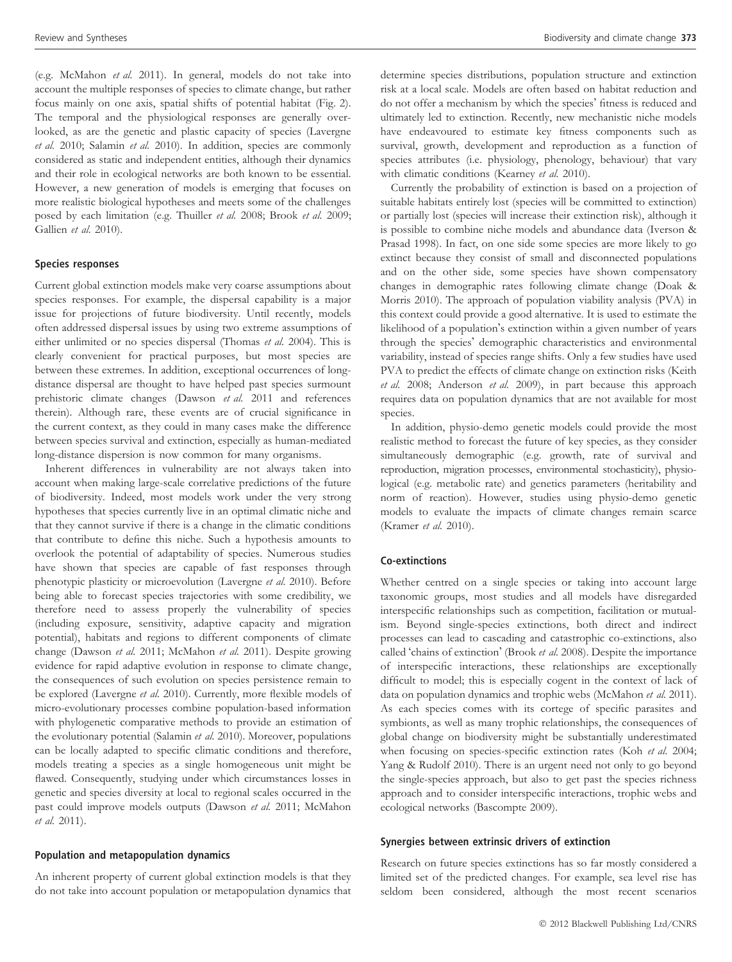(e.g. McMahon et al. 2011). In general, models do not take into account the multiple responses of species to climate change, but rather focus mainly on one axis, spatial shifts of potential habitat (Fig. 2). The temporal and the physiological responses are generally overlooked, as are the genetic and plastic capacity of species (Lavergne et al. 2010; Salamin et al. 2010). In addition, species are commonly considered as static and independent entities, although their dynamics and their role in ecological networks are both known to be essential. However, a new generation of models is emerging that focuses on more realistic biological hypotheses and meets some of the challenges posed by each limitation (e.g. Thuiller et al. 2008; Brook et al. 2009; Gallien et al. 2010).

### Species responses

Current global extinction models make very coarse assumptions about species responses. For example, the dispersal capability is a major issue for projections of future biodiversity. Until recently, models often addressed dispersal issues by using two extreme assumptions of either unlimited or no species dispersal (Thomas et al. 2004). This is clearly convenient for practical purposes, but most species are between these extremes. In addition, exceptional occurrences of longdistance dispersal are thought to have helped past species surmount prehistoric climate changes (Dawson et al. 2011 and references therein). Although rare, these events are of crucial significance in the current context, as they could in many cases make the difference between species survival and extinction, especially as human-mediated long-distance dispersion is now common for many organisms.

Inherent differences in vulnerability are not always taken into account when making large-scale correlative predictions of the future of biodiversity. Indeed, most models work under the very strong hypotheses that species currently live in an optimal climatic niche and that they cannot survive if there is a change in the climatic conditions that contribute to define this niche. Such a hypothesis amounts to overlook the potential of adaptability of species. Numerous studies have shown that species are capable of fast responses through phenotypic plasticity or microevolution (Lavergne et al. 2010). Before being able to forecast species trajectories with some credibility, we therefore need to assess properly the vulnerability of species (including exposure, sensitivity, adaptive capacity and migration potential), habitats and regions to different components of climate change (Dawson et al. 2011; McMahon et al. 2011). Despite growing evidence for rapid adaptive evolution in response to climate change, the consequences of such evolution on species persistence remain to be explored (Lavergne et al. 2010). Currently, more flexible models of micro-evolutionary processes combine population-based information with phylogenetic comparative methods to provide an estimation of the evolutionary potential (Salamin et al. 2010). Moreover, populations can be locally adapted to specific climatic conditions and therefore, models treating a species as a single homogeneous unit might be flawed. Consequently, studying under which circumstances losses in genetic and species diversity at local to regional scales occurred in the past could improve models outputs (Dawson et al. 2011; McMahon et al. 2011).

#### Population and metapopulation dynamics

An inherent property of current global extinction models is that they do not take into account population or metapopulation dynamics that determine species distributions, population structure and extinction risk at a local scale. Models are often based on habitat reduction and do not offer a mechanism by which the species' fitness is reduced and ultimately led to extinction. Recently, new mechanistic niche models have endeavoured to estimate key fitness components such as survival, growth, development and reproduction as a function of species attributes (i.e. physiology, phenology, behaviour) that vary with climatic conditions (Kearney et al. 2010).

Currently the probability of extinction is based on a projection of suitable habitats entirely lost (species will be committed to extinction) or partially lost (species will increase their extinction risk), although it is possible to combine niche models and abundance data (Iverson & Prasad 1998). In fact, on one side some species are more likely to go extinct because they consist of small and disconnected populations and on the other side, some species have shown compensatory changes in demographic rates following climate change (Doak & Morris 2010). The approach of population viability analysis (PVA) in this context could provide a good alternative. It is used to estimate the likelihood of a population's extinction within a given number of years through the species' demographic characteristics and environmental variability, instead of species range shifts. Only a few studies have used PVA to predict the effects of climate change on extinction risks (Keith et al. 2008; Anderson et al. 2009), in part because this approach requires data on population dynamics that are not available for most species.

In addition, physio-demo genetic models could provide the most realistic method to forecast the future of key species, as they consider simultaneously demographic (e.g. growth, rate of survival and reproduction, migration processes, environmental stochasticity), physiological (e.g. metabolic rate) and genetics parameters (heritability and norm of reaction). However, studies using physio-demo genetic models to evaluate the impacts of climate changes remain scarce (Kramer et al. 2010).

#### Co-extinctions

Whether centred on a single species or taking into account large taxonomic groups, most studies and all models have disregarded interspecific relationships such as competition, facilitation or mutualism. Beyond single-species extinctions, both direct and indirect processes can lead to cascading and catastrophic co-extinctions, also called 'chains of extinction' (Brook et al. 2008). Despite the importance of interspecific interactions, these relationships are exceptionally difficult to model; this is especially cogent in the context of lack of data on population dynamics and trophic webs (McMahon et al. 2011). As each species comes with its cortege of specific parasites and symbionts, as well as many trophic relationships, the consequences of global change on biodiversity might be substantially underestimated when focusing on species-specific extinction rates (Koh et al. 2004; Yang & Rudolf 2010). There is an urgent need not only to go beyond the single-species approach, but also to get past the species richness approach and to consider interspecific interactions, trophic webs and ecological networks (Bascompte 2009).

#### Synergies between extrinsic drivers of extinction

Research on future species extinctions has so far mostly considered a limited set of the predicted changes. For example, sea level rise has seldom been considered, although the most recent scenarios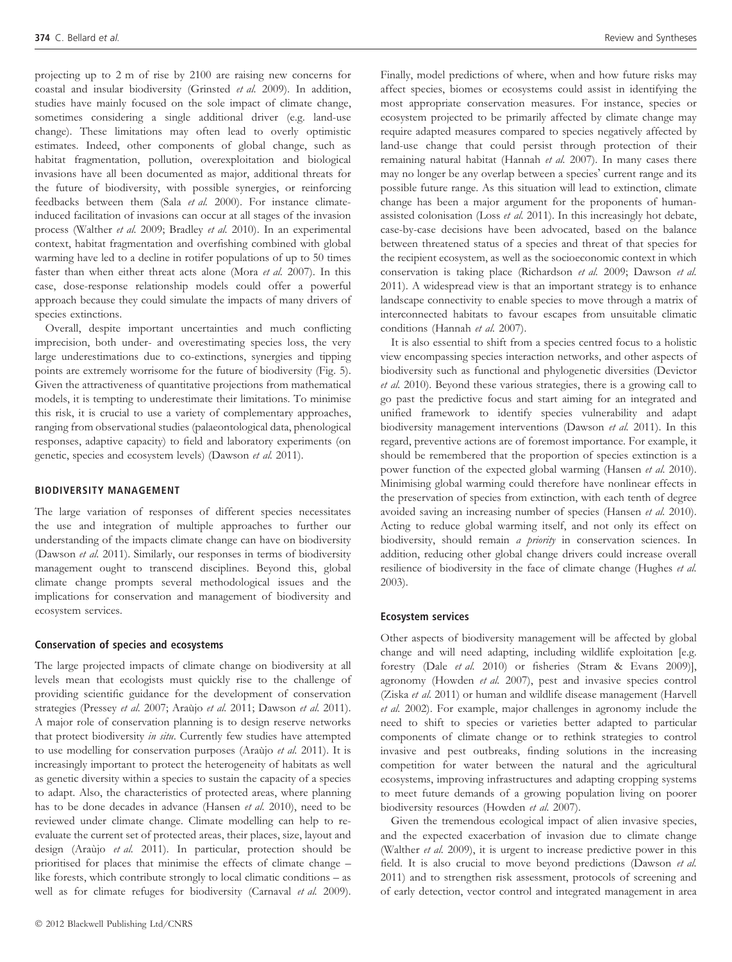projecting up to 2 m of rise by 2100 are raising new concerns for coastal and insular biodiversity (Grinsted et al. 2009). In addition, studies have mainly focused on the sole impact of climate change, sometimes considering a single additional driver (e.g. land-use change). These limitations may often lead to overly optimistic estimates. Indeed, other components of global change, such as habitat fragmentation, pollution, overexploitation and biological invasions have all been documented as major, additional threats for the future of biodiversity, with possible synergies, or reinforcing feedbacks between them (Sala et al. 2000). For instance climateinduced facilitation of invasions can occur at all stages of the invasion process (Walther et al. 2009; Bradley et al. 2010). In an experimental context, habitat fragmentation and overfishing combined with global warming have led to a decline in rotifer populations of up to 50 times faster than when either threat acts alone (Mora et al. 2007). In this case, dose-response relationship models could offer a powerful approach because they could simulate the impacts of many drivers of species extinctions.

Overall, despite important uncertainties and much conflicting imprecision, both under- and overestimating species loss, the very large underestimations due to co-extinctions, synergies and tipping points are extremely worrisome for the future of biodiversity (Fig. 5). Given the attractiveness of quantitative projections from mathematical models, it is tempting to underestimate their limitations. To minimise this risk, it is crucial to use a variety of complementary approaches, ranging from observational studies (palaeontological data, phenological responses, adaptive capacity) to field and laboratory experiments (on genetic, species and ecosystem levels) (Dawson et al. 2011).

#### BIODIVERSITY MANAGEMENT

The large variation of responses of different species necessitates the use and integration of multiple approaches to further our understanding of the impacts climate change can have on biodiversity (Dawson et al. 2011). Similarly, our responses in terms of biodiversity management ought to transcend disciplines. Beyond this, global climate change prompts several methodological issues and the implications for conservation and management of biodiversity and ecosystem services.

## Conservation of species and ecosystems

The large projected impacts of climate change on biodiversity at all levels mean that ecologists must quickly rise to the challenge of providing scientific guidance for the development of conservation strategies (Pressey et al. 2007; Araùjo et al. 2011; Dawson et al. 2011). A major role of conservation planning is to design reserve networks that protect biodiversity in situ. Currently few studies have attempted to use modelling for conservation purposes (Araùjo et al. 2011). It is increasingly important to protect the heterogeneity of habitats as well as genetic diversity within a species to sustain the capacity of a species to adapt. Also, the characteristics of protected areas, where planning has to be done decades in advance (Hansen et al. 2010), need to be reviewed under climate change. Climate modelling can help to reevaluate the current set of protected areas, their places, size, layout and design (Araùjo et al. 2011). In particular, protection should be prioritised for places that minimise the effects of climate change – like forests, which contribute strongly to local climatic conditions – as well as for climate refuges for biodiversity (Carnaval et al. 2009).

Finally, model predictions of where, when and how future risks may affect species, biomes or ecosystems could assist in identifying the most appropriate conservation measures. For instance, species or ecosystem projected to be primarily affected by climate change may require adapted measures compared to species negatively affected by land-use change that could persist through protection of their remaining natural habitat (Hannah et al. 2007). In many cases there may no longer be any overlap between a species' current range and its possible future range. As this situation will lead to extinction, climate change has been a major argument for the proponents of humanassisted colonisation (Loss et al. 2011). In this increasingly hot debate, case-by-case decisions have been advocated, based on the balance between threatened status of a species and threat of that species for the recipient ecosystem, as well as the socioeconomic context in which conservation is taking place (Richardson et al. 2009; Dawson et al. 2011). A widespread view is that an important strategy is to enhance landscape connectivity to enable species to move through a matrix of interconnected habitats to favour escapes from unsuitable climatic conditions (Hannah et al. 2007).

It is also essential to shift from a species centred focus to a holistic view encompassing species interaction networks, and other aspects of biodiversity such as functional and phylogenetic diversities (Devictor et al. 2010). Beyond these various strategies, there is a growing call to go past the predictive focus and start aiming for an integrated and unified framework to identify species vulnerability and adapt biodiversity management interventions (Dawson et al. 2011). In this regard, preventive actions are of foremost importance. For example, it should be remembered that the proportion of species extinction is a power function of the expected global warming (Hansen et al. 2010). Minimising global warming could therefore have nonlinear effects in the preservation of species from extinction, with each tenth of degree avoided saving an increasing number of species (Hansen et al. 2010). Acting to reduce global warming itself, and not only its effect on biodiversity, should remain a priority in conservation sciences. In addition, reducing other global change drivers could increase overall resilience of biodiversity in the face of climate change (Hughes et al. 2003).

#### Ecosystem services

Other aspects of biodiversity management will be affected by global change and will need adapting, including wildlife exploitation [e.g. forestry (Dale et al. 2010) or fisheries (Stram & Evans 2009)], agronomy (Howden et al. 2007), pest and invasive species control (Ziska et al. 2011) or human and wildlife disease management (Harvell et al. 2002). For example, major challenges in agronomy include the need to shift to species or varieties better adapted to particular components of climate change or to rethink strategies to control invasive and pest outbreaks, finding solutions in the increasing competition for water between the natural and the agricultural ecosystems, improving infrastructures and adapting cropping systems to meet future demands of a growing population living on poorer biodiversity resources (Howden et al. 2007).

Given the tremendous ecological impact of alien invasive species, and the expected exacerbation of invasion due to climate change (Walther et al. 2009), it is urgent to increase predictive power in this field. It is also crucial to move beyond predictions (Dawson et al. 2011) and to strengthen risk assessment, protocols of screening and of early detection, vector control and integrated management in area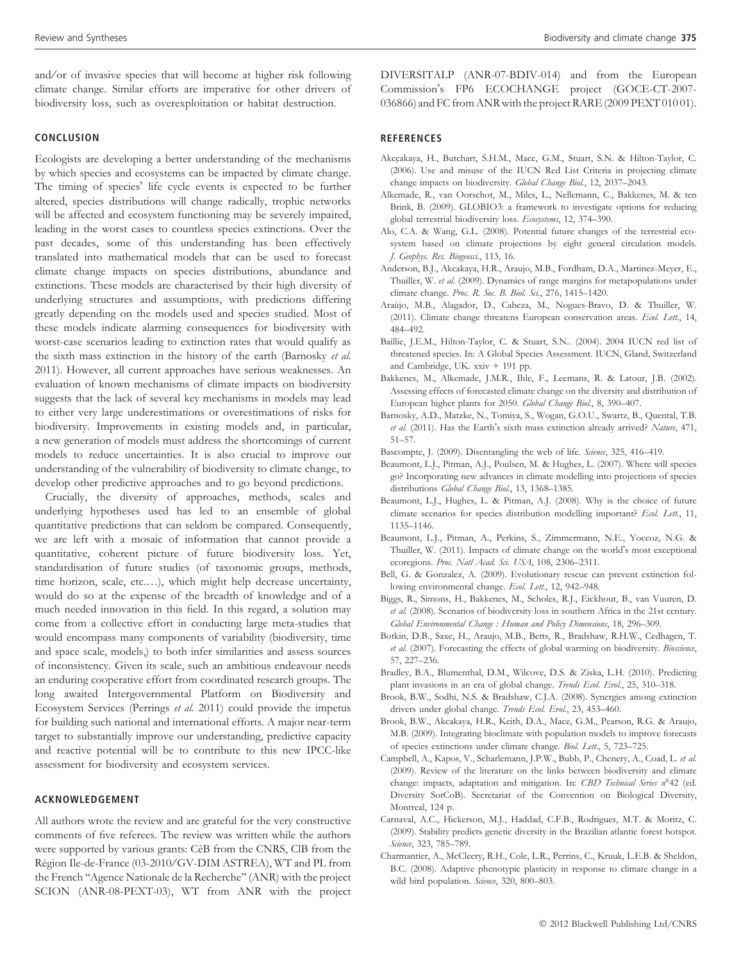and/or of invasive species that will become at higher risk following climate change. Similar efforts are imperative for other drivers of biodiversity loss, such as overexploitation or habitat destruction.

#### CONCLUSION

Ecologists are developing a better understanding of the mechanisms by which species and ecosystems can be impacted by climate change. The timing of species' life cycle events is expected to be further altered, species distributions will change radically, trophic networks will be affected and ecosystem functioning may be severely impaired, leading in the worst cases to countless species extinctions. Over the past decades, some of this understanding has been effectively translated into mathematical models that can be used to forecast climate change impacts on species distributions, abundance and extinctions. These models are characterised by their high diversity of underlying structures and assumptions, with predictions differing greatly depending on the models used and species studied. Most of these models indicate alarming consequences for biodiversity with worst-case scenarios leading to extinction rates that would qualify as the sixth mass extinction in the history of the earth (Barnosky et al. 2011). However, all current approaches have serious weaknesses. An evaluation of known mechanisms of climate impacts on biodiversity suggests that the lack of several key mechanisms in models may lead to either very large underestimations or overestimations of risks for biodiversity. Improvements in existing models and, in particular, a new generation of models must address the shortcomings of current models to reduce uncertainties. It is also crucial to improve our understanding of the vulnerability of biodiversity to climate change, to develop other predictive approaches and to go beyond predictions.

Crucially, the diversity of approaches, methods, scales and underlying hypotheses used has led to an ensemble of global quantitative predictions that can seldom be compared. Consequently, we are left with a mosaic of information that cannot provide a quantitative, coherent picture of future biodiversity loss. Yet, standardisation of future studies (of taxonomic groups, methods, time horizon, scale, etc.…), which might help decrease uncertainty, would do so at the expense of the breadth of knowledge and of a much needed innovation in this field. In this regard, a solution may come from a collective effort in conducting large meta-studies that would encompass many components of variability (biodiversity, time and space scale, models,) to both infer similarities and assess sources of inconsistency. Given its scale, such an ambitious endeavour needs an enduring cooperative effort from coordinated research groups. The long awaited Intergovernmental Platform on Biodiversity and Ecosystem Services (Perrings et al. 2011) could provide the impetus for building such national and international efforts. A major near-term target to substantially improve our understanding, predictive capacity and reactive potential will be to contribute to this new IPCC-like assessment for biodiversity and ecosystem services.

#### ACKNOWLEDGEMENT

All authors wrote the review and are grateful for the very constructive comments of five referees. The review was written while the authors were supported by various grants: CéB from the CNRS, ClB from the Région Ile-de-France (03-2010/GV-DIM ASTREA), WT and PL from the French ''Agence Nationale de la Recherche'' (ANR) with the project SCION (ANR-08-PEXT-03), WT from ANR with the project DIVERSITALP (ANR-07-BDIV-014) and from the European Commission's FP6 ECOCHANGE project (GOCE-CT-2007-036866) and FC from ANR with the project RARE(2009 PEXT 010 01).

### **REFERENCES**

- Akcçakaya, H., Butchart, S.H.M., Mace, G.M., Stuart, S.N. & Hilton-Taylor, C. (2006). Use and misuse of the IUCN Red List Criteria in projecting climate change impacts on biodiversity. Global Change Biol., 12, 2037–2043.
- Alkemade, R., van Oorschot, M., Miles, L., Nellemann, C., Bakkenes, M. & ten Brink, B. (2009). GLOBIO3: a framework to investigate options for reducing global terrestrial biodiversity loss. Ecosystems, 12, 374–390.
- Alo, C.A. & Wang, G.L. (2008). Potential future changes of the terrestrial ecosystem based on climate projections by eight general circulation models. J. Geophys. Res. Biogeosci., 113, 16.
- Anderson, B.J., Akcakaya, H.R., Araujo, M.B., Fordham, D.A., Martinez-Meyer, E., Thuiller, W. et al. (2009). Dynamics of range margins for metapopulations under climate change. Proc. R. Soc. B. Biol. Sci., 276, 1415–1420.
- Arau`jo, M.B., Alagador, D., Cabeza, M., Nogues-Bravo, D. & Thuiller, W. (2011). Climate change threatens European conservation areas. Ecol. Lett., 14, 484–492.
- Baillie, J.E.M., Hilton-Taylor, C. & Stuart, S.N.. (2004). 2004 IUCN red list of threatened species. In: A Global Species Assessment. IUCN, Gland, Switzerland and Cambridge, UK. xxiv + 191 pp.
- Bakkenes, M., Alkemade, J.M.R., Ihle, F., Leemans, R. & Latour, J.B. (2002). Assessing effects of forecasted climate change on the diversity and distribution of European higher plants for 2050. Global Change Biol., 8, 390–407.
- Barnosky, A.D., Matzke, N., Tomiya, S., Wogan, G.O.U., Swartz, B., Quental, T.B. et al. (2011). Has the Earth's sixth mass extinction already arrived? Nature, 471, 51–57.
- Bascompte, J. (2009). Disentangling the web of life. Science, 325, 416–419.
- Beaumont, L.J., Pitman, A.J., Poulsen, M. & Hughes, L. (2007). Where will species go? Incorporating new advances in climate modelling into projections of species distributions Global Change Biol., 13, 1368–1385.
- Beaumont, L.J., Hughes, L. & Pitman, A.J. (2008). Why is the choice of future climate scenarios for species distribution modelling important? Ecol. Lett., 11, 1135–1146.
- Beaumont, L.J., Pitman, A., Perkins, S., Zimmermann, N.E., Yoccoz, N.G. & Thuiller, W. (2011). Impacts of climate change on the world's most exceptional ecoregions. Proc. Natl Acad. Sci. USA, 108, 2306-2311.
- Bell, G. & Gonzalez, A. (2009). Evolutionary rescue can prevent extinction following environmental change. Ecol. Lett., 12, 942-948.
- Biggs, R., Simons, H., Bakkenes, M., Scholes, R.J., Eickhout, B., van Vuuren, D. et al. (2008). Scenarios of biodiversity loss in southern Africa in the 21st century. Global Environmental Change : Human and Policy Dimensions, 18, 296–309.
- Botkin, D.B., Saxe, H., Araujo, M.B., Betts, R., Bradshaw, R.H.W., Cedhagen, T. et al. (2007). Forecasting the effects of global warming on biodiversity. Bioscience, 57, 227–236.
- Bradley, B.A., Blumenthal, D.M., Wilcove, D.S. & Ziska, L.H. (2010). Predicting plant invasions in an era of global change. Trends Ecol. Evol., 25, 310-318.
- Brook, B.W., Sodhi, N.S. & Bradshaw, C.J.A. (2008). Synergies among extinction drivers under global change. Trends Ecol. Evol., 23, 453-460.
- Brook, B.W., Akcakaya, H.R., Keith, D.A., Mace, G.M., Pearson, R.G. & Araujo, M.B. (2009). Integrating bioclimate with population models to improve forecasts of species extinctions under climate change. Biol. Lett., 5, 723–725.
- Campbell, A., Kapos, V., Scharlemann, J.P.W., Bubb, P., Chenery, A., Coad, L. et al. (2009). Review of the literature on the links between biodiversity and climate change: impacts, adaptation and mitigation. In: CBD Technical Series  $n^{\circ}42$  (ed. Diversity SotCoB). Secretariat of the Convention on Biological Diversity, Montreal, 124 p.
- Carnaval, A.C., Hickerson, M.J., Haddad, C.F.B., Rodrigues, M.T. & Moritz, C. (2009). Stability predicts genetic diversity in the Brazilian atlantic forest hotspot. Science, 323, 785-789.
- Charmantier, A., McCleery, R.H., Cole, L.R., Perrins, C., Kruuk, L.E.B. & Sheldon, B.C. (2008). Adaptive phenotypic plasticity in response to climate change in a wild bird population. Science, 320, 800-803.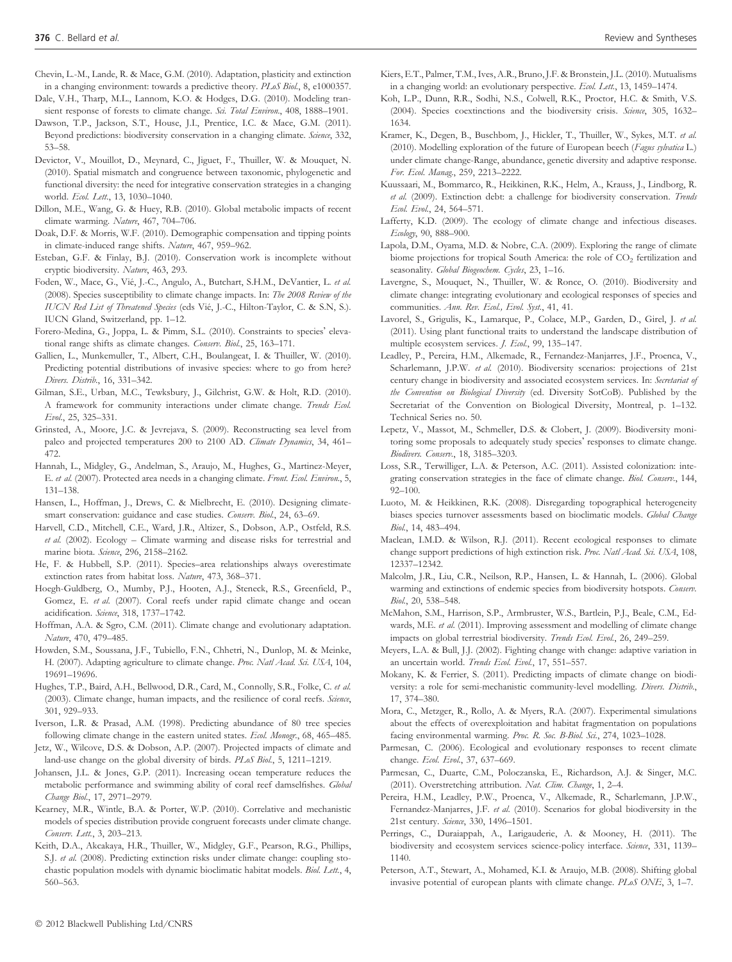- Chevin, L.-M., Lande, R. & Mace, G.M. (2010). Adaptation, plasticity and extinction in a changing environment: towards a predictive theory. PLoS Biol., 8, e1000357.
- Dale, V.H., Tharp, M.L., Lannom, K.O. & Hodges, D.G. (2010). Modeling transient response of forests to climate change. Sci. Total Environ., 408, 1888-1901.
- Dawson, T.P., Jackson, S.T., House, J.I., Prentice, I.C. & Mace, G.M. (2011). Beyond predictions: biodiversity conservation in a changing climate. Science, 332, 53–58.
- Devictor, V., Mouillot, D., Meynard, C., Jiguet, F., Thuiller, W. & Mouquet, N. (2010). Spatial mismatch and congruence between taxonomic, phylogenetic and functional diversity: the need for integrative conservation strategies in a changing world. Ecol. Lett., 13, 1030-1040.
- Dillon, M.E., Wang, G. & Huey, R.B. (2010). Global metabolic impacts of recent climate warming. Nature, 467, 704–706.
- Doak, D.F. & Morris, W.F. (2010). Demographic compensation and tipping points in climate-induced range shifts. Nature, 467, 959–962.
- Esteban, G.F. & Finlay, B.J. (2010). Conservation work is incomplete without cryptic biodiversity. Nature, 463, 293.
- Foden, W., Mace, G., Vié, J.-C., Angulo, A., Butchart, S.H.M., DeVantier, L. et al. (2008). Species susceptibility to climate change impacts. In: The 2008 Review of the IUCN Red List of Threatened Species (eds Vié, J.-C., Hilton-Taylor, C. & S.N, S.). IUCN Gland, Switzerland, pp. 1–12.
- Forero-Medina, G., Joppa, L. & Pimm, S.L. (2010). Constraints to species' elevational range shifts as climate changes. Conserv. Biol., 25, 163–171.
- Gallien, L., Munkemuller, T., Albert, C.H., Boulangeat, I. & Thuiller, W. (2010). Predicting potential distributions of invasive species: where to go from here? Divers. Distrib., 16, 331–342.
- Gilman, S.E., Urban, M.C., Tewksbury, J., Gilchrist, G.W. & Holt, R.D. (2010). A framework for community interactions under climate change. Trends Ecol. Evol., 25, 325–331.
- Grinsted, A., Moore, J.C. & Jevrejava, S. (2009). Reconstructing sea level from paleo and projected temperatures 200 to 2100 AD. Climate Dynamics, 34, 461-472.
- Hannah, L., Midgley, G., Andelman, S., Araujo, M., Hughes, G., Martinez-Meyer, E. et al. (2007). Protected area needs in a changing climate. Front. Ecol. Environ., 5, 131–138.
- Hansen, L., Hoffman, J., Drews, C. & Mielbrecht, E. (2010). Designing climatesmart conservation: guidance and case studies. Conserv. Biol., 24, 63–69.
- Harvell, C.D., Mitchell, C.E., Ward, J.R., Altizer, S., Dobson, A.P., Ostfeld, R.S. et al. (2002). Ecology – Climate warming and disease risks for terrestrial and marine biota. Science, 296, 2158–2162.
- He, F. & Hubbell, S.P. (2011). Species–area relationships always overestimate extinction rates from habitat loss. Nature, 473, 368–371.
- Hoegh-Guldberg, O., Mumby, P.J., Hooten, A.J., Steneck, R.S., Greenfield, P., Gomez, E. et al. (2007). Coral reefs under rapid climate change and ocean acidification. Science, 318, 1737–1742.
- Hoffman, A.A. & Sgro, C.M. (2011). Climate change and evolutionary adaptation. Nature, 470, 479–485.
- Howden, S.M., Soussana, J.F., Tubiello, F.N., Chhetri, N., Dunlop, M. & Meinke, H. (2007). Adapting agriculture to climate change. Proc. Natl Acad. Sci. USA, 104, 19691–19696.
- Hughes, T.P., Baird, A.H., Bellwood, D.R., Card, M., Connolly, S.R., Folke, C. et al. (2003). Climate change, human impacts, and the resilience of coral reefs. Science, 301, 929–933.
- Iverson, L.R. & Prasad, A.M. (1998). Predicting abundance of 80 tree species following climate change in the eastern united states. Ecol. Monogr., 68, 465-485.
- Jetz, W., Wilcove, D.S. & Dobson, A.P. (2007). Projected impacts of climate and land-use change on the global diversity of birds. PLoS Biol., 5, 1211–1219.
- Johansen, J.L. & Jones, G.P. (2011). Increasing ocean temperature reduces the metabolic performance and swimming ability of coral reef damselfishes. Global Change Biol., 17, 2971–2979.
- Kearney, M.R., Wintle, B.A. & Porter, W.P. (2010). Correlative and mechanistic models of species distribution provide congruent forecasts under climate change. Conserv. Lett., 3, 203-213.
- Keith, D.A., Akcakaya, H.R., Thuiller, W., Midgley, G.F., Pearson, R.G., Phillips, S.J. et al. (2008). Predicting extinction risks under climate change: coupling stochastic population models with dynamic bioclimatic habitat models. Biol. Lett., 4, 560–563.
- Kiers, E.T., Palmer, T.M., Ives, A.R., Bruno, J.F. & Bronstein, J.L. (2010). Mutualisms in a changing world: an evolutionary perspective. Ecol. Lett., 13, 1459-1474.
- Koh, L.P., Dunn, R.R., Sodhi, N.S., Colwell, R.K., Proctor, H.C. & Smith, V.S. (2004). Species coextinctions and the biodiversity crisis. Science, 305, 1632-1634.
- Kramer, K., Degen, B., Buschbom, J., Hickler, T., Thuiller, W., Sykes, M.T. et al. (2010). Modelling exploration of the future of European beech (Fagus sylvatica L.) under climate change-Range, abundance, genetic diversity and adaptive response. For. Ecol. Manag., 259, 2213–2222.
- Kuussaari, M., Bommarco, R., Heikkinen, R.K., Helm, A., Krauss, J., Lindborg, R. et al. (2009). Extinction debt: a challenge for biodiversity conservation. Trends Ecol. Evol., 24, 564–571.
- Lafferty, K.D. (2009). The ecology of climate change and infectious diseases. Ecology, 90, 888–900.
- Lapola, D.M., Oyama, M.D. & Nobre, C.A. (2009). Exploring the range of climate biome projections for tropical South America: the role of CO<sub>2</sub> fertilization and seasonality. Global Biogeochem. Cycles, 23, 1-16.
- Lavergne, S., Mouquet, N., Thuiller, W. & Ronce, O. (2010). Biodiversity and climate change: integrating evolutionary and ecological responses of species and communities. Ann. Rev. Ecol., Evol. Syst., 41, 41.
- Lavorel, S., Grigulis, K., Lamarque, P., Colace, M.P., Garden, D., Girel, J. et al. (2011). Using plant functional traits to understand the landscape distribution of multiple ecosystem services. J. Ecol., 99, 135–147.
- Leadley, P., Pereira, H.M., Alkemade, R., Fernandez-Manjarres, J.F., Proenca, V., Scharlemann, J.P.W. et al. (2010). Biodiversity scenarios: projections of 21st century change in biodiversity and associated ecosystem services. In: Secretariat of the Convention on Biological Diversity (ed. Diversity SotCoB). Published by the Secretariat of the Convention on Biological Diversity, Montreal, p. 1–132. Technical Series no. 50.
- Lepetz, V., Massot, M., Schmeller, D.S. & Clobert, J. (2009). Biodiversity monitoring some proposals to adequately study species' responses to climate change. Biodivers. Conserv., 18, 3185–3203.
- Loss, S.R., Terwilliger, L.A. & Peterson, A.C. (2011). Assisted colonization: integrating conservation strategies in the face of climate change. Biol. Conserv., 144, 92–100.
- Luoto, M. & Heikkinen, R.K. (2008). Disregarding topographical heterogeneity biases species turnover assessments based on bioclimatic models. Global Change Biol., 14, 483–494.
- Maclean, I.M.D. & Wilson, R.J. (2011). Recent ecological responses to climate change support predictions of high extinction risk. Proc. Natl Acad. Sci. USA, 108, 12337–12342.
- Malcolm, J.R., Liu, C.R., Neilson, R.P., Hansen, L. & Hannah, L. (2006). Global warming and extinctions of endemic species from biodiversity hotspots. Conserv. Biol., 20, 538–548.
- McMahon, S.M., Harrison, S.P., Armbruster, W.S., Bartlein, P.J., Beale, C.M., Edwards, M.E. et al. (2011). Improving assessment and modelling of climate change impacts on global terrestrial biodiversity. Trends Ecol. Evol., 26, 249–259.
- Meyers, L.A. & Bull, J.J. (2002). Fighting change with change: adaptive variation in an uncertain world. Trends Ecol. Evol., 17, 551-557.
- Mokany, K. & Ferrier, S. (2011). Predicting impacts of climate change on biodiversity: a role for semi-mechanistic community-level modelling. Divers. Distrib., 17, 374–380.
- Mora, C., Metzger, R., Rollo, A. & Myers, R.A. (2007). Experimental simulations about the effects of overexploitation and habitat fragmentation on populations facing environmental warming. Proc. R. Soc. B-Biol. Sci., 274, 1023–1028.
- Parmesan, C. (2006). Ecological and evolutionary responses to recent climate change. Ecol. Evol., 37, 637-669.
- Parmesan, C., Duarte, C.M., Poloczanska, E., Richardson, A.J. & Singer, M.C. (2011). Overstretching attribution. Nat. Clim. Change, 1, 2-4.
- Pereira, H.M., Leadley, P.W., Proenca, V., Alkemade, R., Scharlemann, J.P.W., Fernandez-Manjarres, J.F. et al. (2010). Scenarios for global biodiversity in the 21st century. Science, 330, 1496–1501.
- Perrings, C., Duraiappah, A., Larigauderie, A. & Mooney, H. (2011). The biodiversity and ecosystem services science-policy interface. Science, 331, 1139– 1140.
- Peterson, A.T., Stewart, A., Mohamed, K.I. & Araujo, M.B. (2008). Shifting global invasive potential of european plants with climate change. PLoS ONE, 3, 1–7.